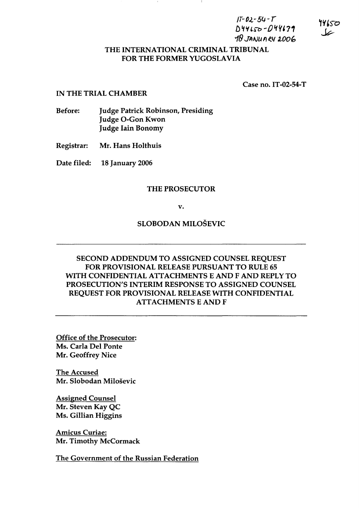$IT-02-54-T$  $D44150 - D44139$ *18 JA/VU* I) e.lf *100b* 

#### THE INTERNATIONAL CRIMINAL TRIBUNAL FOR THE FORMER YUGOSLAVIA

Case no. IT -02-54-T

#### IN THE TRIAL CHAMBER

- Before: Judge Patrick Robinson, Presiding Judge O-Gon Kwon Judge lain Bonomy
- Registrar: Mr. Hans Holthuis

Date filed: 18 January 2006

#### THE PROSECUTOR

v.

SLOBODAN MILOSEVIC

# SECOND ADDENDUM TO ASSIGNED COUNSEL REQUEST FOR PROVISIONAL RELEASE PURSUANT TO RULE 65 WITH CONFIDENTIAL ATTACHMENTS E AND F AND REPLY TO PROSECUTION'S INTERIM RESPONSE TO ASSIGNED COUNSEL REQUEST FOR PROVISIONAL RELEASE WITH CONFIDENTIAL ATTACHMENTS E AND F

Office of the Prosecutor: Ms. Carla Del Ponte Mr. Geoffrey Nice

The Accused Mr. Slobodan Milosevic

Assigned Counsel Mr. Steven Kay QC Ms. Gillian Higgins

Amicus Curiae: Mr. Timothy McCormack

The Government of the Russian Federation

14650 سما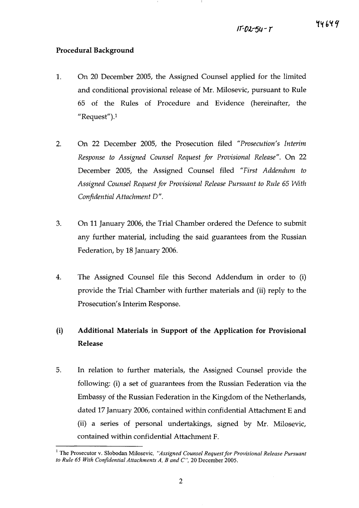44649

### Procedural Background

- 1. On 20 December 2005, the Assigned Counsel applied for the limited and conditional provisional release of Mr. Milosevic, pursuant to Rule 65 of the Rules of Procedure and Evidence (hereinafter, the "Request").<sup>1</sup>
- 2. On 22 December 2005, the Prosecution filed *"Prosecution's Interim Response to Assigned Counsel Request for Provisional Release".* On 22 December 2005, the Assigned Counsel filed *"First Addendum to Assigned Counsel Request for Provisional Release Pursuant to Rule* 65 *With Confidential Attachment D".*
- 3. On 11 January 2006, the Trial Chamber ordered the Defence to submit any further material, including the said guarantees from the Russian Federation, by 18 January 2006.
- 4. The Assigned Counsel file this Second Addendum in order to (i) provide the Trial Chamber with further materials and (ii) reply to the Prosecution's Interim Response.

# (i) Additional Materials in Support of the Application for Provisional Release

5. In relation to further materials, the Assigned Counsel provide the following: (i) a set of guarantees from the Russian Federation via the Embassy of the Russian Federation in the Kingdom of the Netherlands, dated 17 January 2006, contained within confidential Attachment E and (ii) a series of personal undertakings, signed by Mr. Milosevic, contained within confidential Attachment F.

<sup>&</sup>lt;sup>1</sup> The Prosecutor v. Slobodan Milosevic, "Assigned Counsel Request for Provisional Release Pursuant *to Rule* 65 *With Confidential Attachments A, Band C",* 20 December 2005.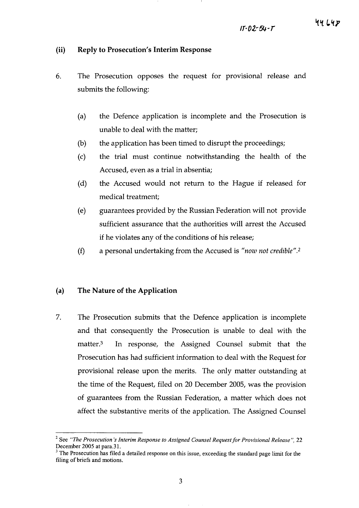#### **(ii) Reply to Prosecution's Interim Response**

- 6. The Prosecution opposes the request for provisional release and submits the following:
	- (a) the Defence application is incomplete and the Prosecution is unable to deal with the matter;
	- (b) the application has been timed to disrupt the proceedings;
	- (c) the trial must continue notwithstanding the health of the Accused, even as a trial in absentia;
	- (d) the Accused would not return to the Hague if released for medical treatment;
	- (e) guarantees provided by the Russian Federation will not provide sufficient assurance that the authorities will arrest the Accused if he violates any of the conditions of his release;
	- (f) a personal undertaking from the Accused is *"now not credible".2*

#### **(a) The Nature of the Application**

7. The Prosecution submits that the Defence application is incomplete and that consequently the Prosecution is unable to deal with the matter.3 In response, the Assigned Counsel submit that the Prosecution has had sufficient information to deal with the Request for provisional release upon the merits. The only matter outstanding at the time of the Request, filed on 20 December 2005, was the provision of guarantees from the Russian Federation, a matter which does not affect the substantive merits of the application. The Assigned Counsel

<sup>2</sup> See *"The Prosecution's Interim Response to Assigned Counsel Request for Provisional Release* ", 22 December 2005 at para.31.

<sup>&</sup>lt;sup>3</sup> The Prosecution has filed a detailed response on this issue, exceeding the standard page limit for the filing of briefs and motions.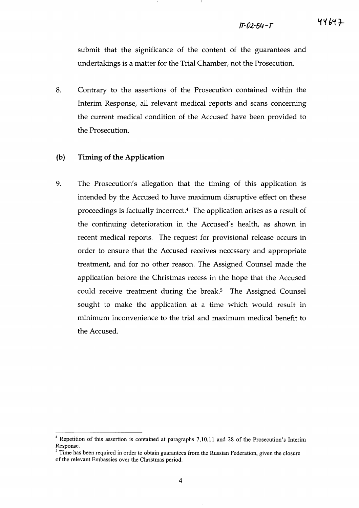44647

submit that the significance of the content of the guarantees and undertakings is a matter for the Trial Chamber, not the Prosecution.

8. Contrary to the assertions of the Prosecution contained within the Interim Response, all relevant medical reports and scans concerning the current medical condition of the Accused have been provided to the Prosecution.

#### (b) Timing **of the Application**

9. The Prosecution's allegation that the timing of this application is intended by the Accused to have maximum disruptive effect on these proceedings is factually incorrect.4 The application arises as a result of the continuing deterioration in the Accused's health, as shown in recent medical reports. The request for provisional release occurs in order to ensure that the Accused receives necessary and appropriate treatment, and for no other reason. The Assigned Counsel made the application before the Christmas recess in the hope that the Accused could receive treatment during the break.<sup>5</sup> The Assigned Counsel sought to make the application at a time which would result in minimum inconvenience to the trial and maximum medical benefit to the Accused.

<sup>4</sup> Repetition of this assertion is contained at paragraphs 7,10,11 and 28 of the Prosecution's Interim Response.

Time has been required in order to obtain guarantees from the Russian Federation, given the closure of the relevant Embassies over the Christmas period.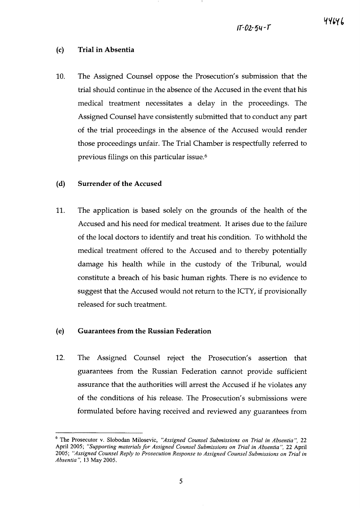# 44646

# (c) Trial in Absentia

10. The Assigned Counsel oppose the Prosecution's submission that the trial should continue in the absence of the Accused in the event that his medical treatment necessitates a delay in the proceedings. The Assigned Counsel have consistently submitted that to conduct any part of the trial proceedings in the absence of the Accused would render those proceedings unfair. The Trial Chamber is respectfully referred to previous filings on this particular issue.6

## (d) Surrender of the Accused

11. The application is based solely on the grounds of the health of the Accused and his need for medical treatment. It arises due to the failure of the local doctors to identify and treat his condition. To withhold the medical treatment offered to the Accused and to thereby potentially damage his health while in the custody of the Tribunal, would constitute a breach of his basic human rights. There is no evidence to suggest that the Accused would not return to the ICTY, if provisionally released for such treatment.

# (e) Guarantees from the Russian Federation

12. The Assigned Counsel reject the Prosecution's assertion that guarantees from the Russian Federation cannot provide sufficient assurance that the authorities will arrest the Accused if he violates any of the conditions of his release. The Prosecution's submissions were formulated before having received and reviewed any guarantees from

<sup>6</sup> The Prosecutor v. Slobodan Milosevic, *"Assigned Counsel Submissions on Trial in Absentia* ", 22 April 2005; *"Supporting materials for Assigned Counsel Submissions on Trial in Absentia* ", 22 April *2005; "Assigned Counsel Reply to Prosecution Response to Assigned Counsel Submissions on Trial in Absentia* ", 13 May 2005.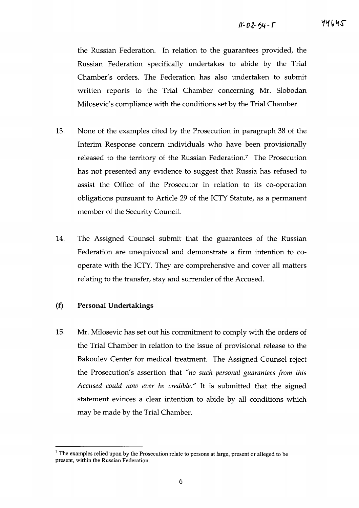#### $11 - 02 - 54 - 5$

44645

the Russian Federation. In relation to the guarantees provided, the Russian Federation specifically undertakes to abide by the Trial Chamber's orders. The Federation has also undertaken to submit written reports to the Trial Chamber concerning Mr. Slobodan Milosevic's compliance with the conditions set by the Trial Chamber.

- 13. None of the examples cited by the Prosecution in paragraph 38 of the Interim Response concern individuals who have been provisionally released to the territory of the Russian Federation? The Prosecution has not presented any evidence to suggest that Russia has refused to assist the Office of the Prosecutor in relation to its co-operation obligations pursuant to Article 29 of the ICTY Statute, as a permanent member of the Security Council.
- 14. The Assigned Counsel submit that the guarantees of the Russian Federation are unequivocal and demonstrate a firm intention to cooperate with the ICTY. They are comprehensive and cover all matters relating to the transfer, stay and surrender of the Accused.

#### **(f) Personal Undertakings**

15. Mr. Milosevic has set out his commitment to comply with the orders of the Trial Chamber in relation to the issue of provisional release to the Bakoulev Center for medical treatment. The Assigned Counsel reject the Prosecution's assertion that" *no such personal guaran tees from this Accused could now ever be credible."* It is submitted that the signed statement evinces a clear intention to abide by all conditions which may be made by the Trial Chamber.

 $<sup>7</sup>$  The examples relied upon by the Prosecution relate to persons at large, present or alleged to be</sup> present, within the Russian Federation.